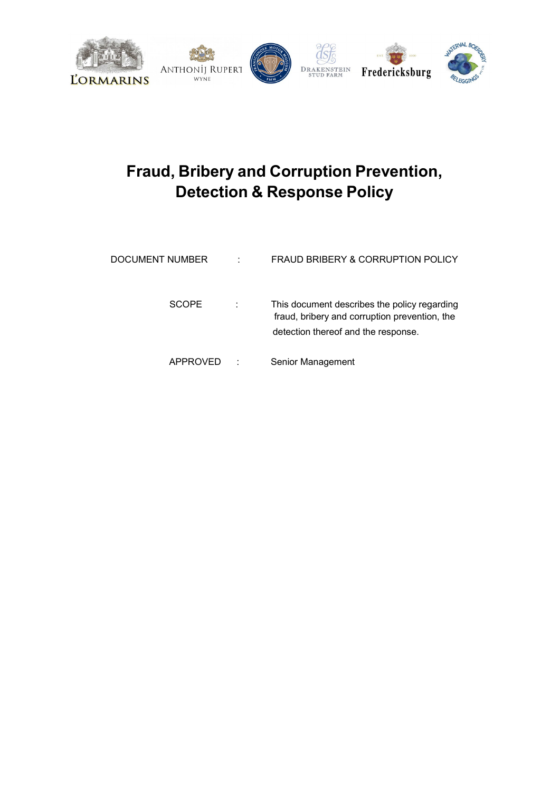

# **Fraud, Bribery and Corruption Prevention, Detection & Response Policy**

| DOCUMENT NUMBER | ٠ | FRAUD BRIBERY & CORRUPTION POLICY                                                                                                    |
|-----------------|---|--------------------------------------------------------------------------------------------------------------------------------------|
| <b>SCOPE</b>    |   | This document describes the policy regarding<br>fraud, bribery and corruption prevention, the<br>detection thereof and the response. |
| APPROVED        |   | Senior Management                                                                                                                    |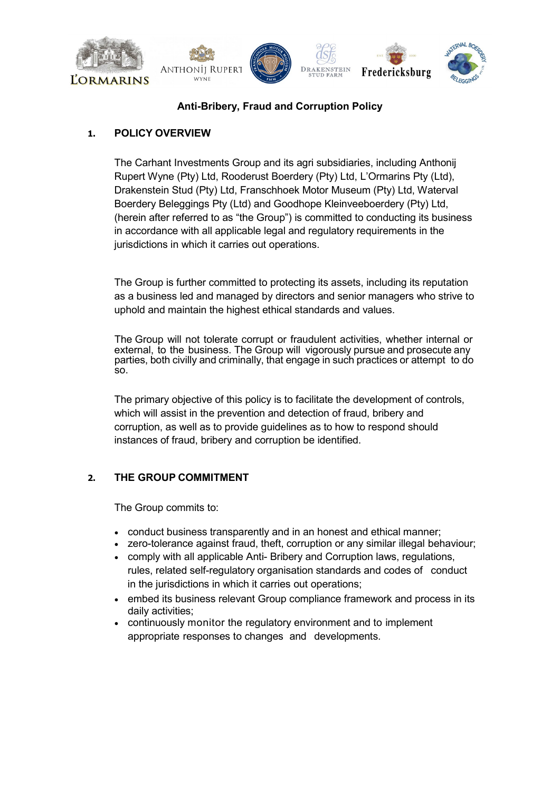

# **Anti-Bribery, Fraud and Corruption Policy**

## **1. POLICY OVERVIEW**

The Carhant Investments Group and its agri subsidiaries, including Anthonij Rupert Wyne (Pty) Ltd, Rooderust Boerdery (Pty) Ltd, L'Ormarins Pty (Ltd), Drakenstein Stud (Pty) Ltd, Franschhoek Motor Museum (Pty) Ltd, Waterval Boerdery Beleggings Pty (Ltd) and Goodhope Kleinveeboerdery (Pty) Ltd, (herein after referred to as "the Group") is committed to conducting its business in accordance with all applicable legal and regulatory requirements in the jurisdictions in which it carries out operations.

The Group is further committed to protecting its assets, including its reputation as a business led and managed by directors and senior managers who strive to uphold and maintain the highest ethical standards and values.

The Group will not tolerate corrupt or fraudulent activities, whether internal or external, to the business. The Group will vigorously pursue and prosecute any parties, both civilly and criminally, that engage in such practices or attempt to do so.

The primary objective of this policy is to facilitate the development of controls, which will assist in the prevention and detection of fraud, bribery and corruption, as well as to provide guidelines as to how to respond should instances of fraud, bribery and corruption be identified.

## **2. THE GROUP COMMITMENT**

The Group commits to:

- conduct business transparently and in an honest and ethical manner;
- zero-tolerance against fraud, theft, corruption or any similar illegal behaviour;
- comply with all applicable Anti- Bribery and Corruption laws, regulations, rules, related self-regulatory organisation standards and codes of conduct in the jurisdictions in which it carries out operations;
- embed its business relevant Group compliance framework and process in its daily activities;
- continuously monitor the regulatory environment and to implement appropriate responses to changes and developments.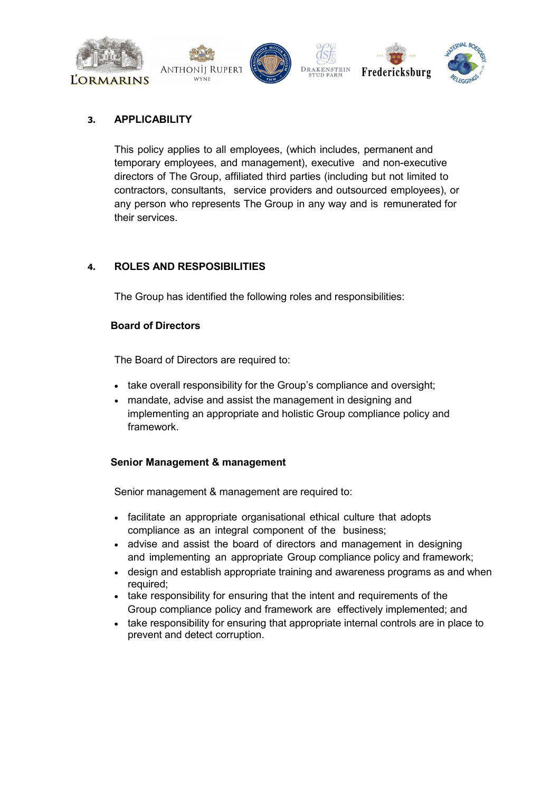

## **3. APPLICABILITY**

This policy applies to all employees, (which includes, permanent and temporary employees, and management), executive and non-executive directors of The Group, affiliated third parties (including but not limited to contractors, consultants, service providers and outsourced employees), or any person who represents The Group in any way and is remunerated for their services.

## **4. ROLES AND RESPOSIBILITIES**

The Group has identified the following roles and responsibilities:

#### **Board of Directors**

The Board of Directors are required to:

- take overall responsibility for the Group's compliance and oversight;
- mandate, advise and assist the management in designing and implementing an appropriate and holistic Group compliance policy and framework.

## **Senior Management & management**

Senior management & management are required to:

- facilitate an appropriate organisational ethical culture that adopts compliance as an integral component of the business;
- advise and assist the board of directors and management in designing and implementing an appropriate Group compliance policy and framework;
- design and establish appropriate training and awareness programs as and when required;
- take responsibility for ensuring that the intent and requirements of the Group compliance policy and framework are effectively implemented; and
- take responsibility for ensuring that appropriate internal controls are in place to prevent and detect corruption.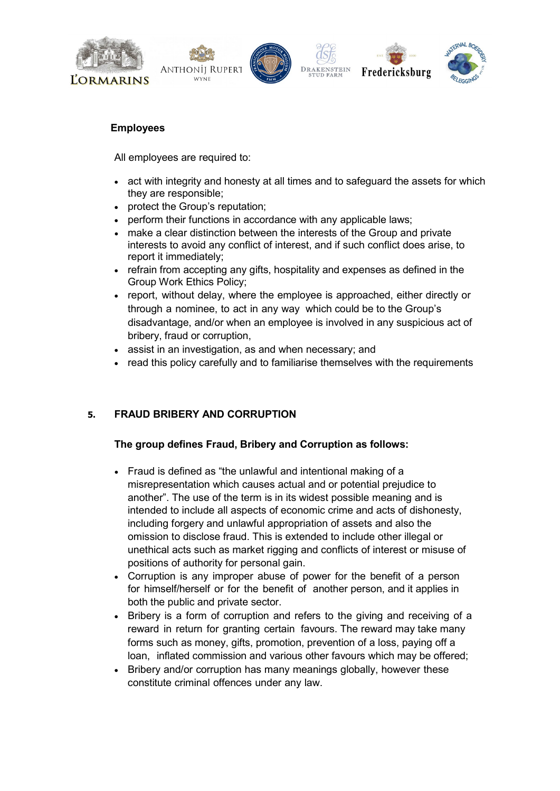







#### **Employees**

All employees are required to:

- act with integrity and honesty at all times and to safeguard the assets for which they are responsible;
- protect the Group's reputation;
- perform their functions in accordance with any applicable laws;
- make a clear distinction between the interests of the Group and private interests to avoid any conflict of interest, and if such conflict does arise, to report it immediately;
- refrain from accepting any gifts, hospitality and expenses as defined in the Group Work Ethics Policy;
- report, without delay, where the employee is approached, either directly or through a nominee, to act in any way which could be to the Group's disadvantage, and/or when an employee is involved in any suspicious act of bribery, fraud or corruption,
- assist in an investigation, as and when necessary; and
- read this policy carefully and to familiarise themselves with the requirements

# **5. FRAUD BRIBERY AND CORRUPTION**

## **The group defines Fraud, Bribery and Corruption as follows:**

- Fraud is defined as "the unlawful and intentional making of a misrepresentation which causes actual and or potential prejudice to another". The use of the term is in its widest possible meaning and is intended to include all aspects of economic crime and acts of dishonesty, including forgery and unlawful appropriation of assets and also the omission to disclose fraud. This is extended to include other illegal or unethical acts such as market rigging and conflicts of interest or misuse of positions of authority for personal gain.
- Corruption is any improper abuse of power for the benefit of a person for himself/herself or for the benefit of another person, and it applies in both the public and private sector.
- Bribery is a form of corruption and refers to the giving and receiving of a reward in return for granting certain favours. The reward may take many forms such as money, gifts, promotion, prevention of a loss, paying off a loan, inflated commission and various other favours which may be offered;
- Bribery and/or corruption has many meanings globally, however these constitute criminal offences under any law.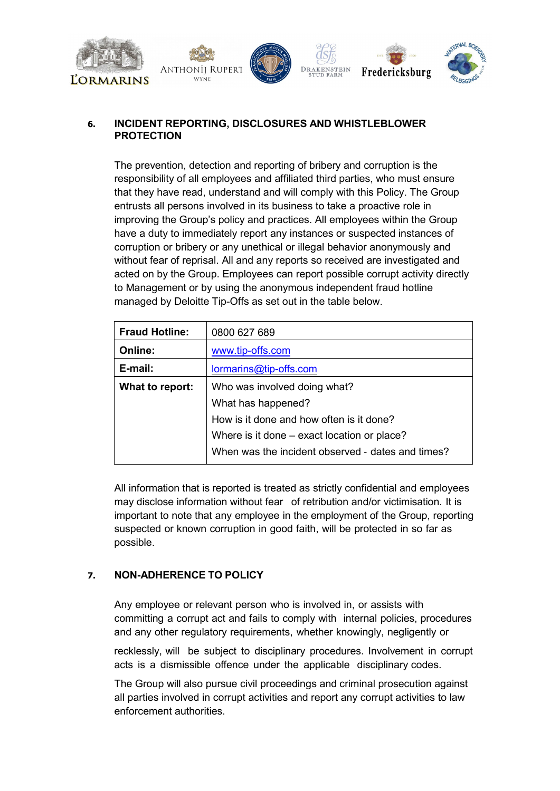

## **6. INCIDENT REPORTING, DISCLOSURES AND WHISTLEBLOWER PROTECTION**

The prevention, detection and reporting of bribery and corruption is the responsibility of all employees and affiliated third parties, who must ensure that they have read, understand and will comply with this Policy. The Group entrusts all persons involved in its business to take a proactive role in improving the Group's policy and practices. All employees within the Group have a duty to immediately report any instances or suspected instances of corruption or bribery or any unethical or illegal behavior anonymously and without fear of reprisal. All and any reports so received are investigated and acted on by the Group. Employees can report possible corrupt activity directly to Management or by using the anonymous independent fraud hotline managed by Deloitte Tip-Offs as set out in the table below.

| <b>Fraud Hotline:</b> | 0800 627 689                                      |  |
|-----------------------|---------------------------------------------------|--|
| Online:               | www.tip-offs.com                                  |  |
| E-mail:               | lormarins@tip-offs.com                            |  |
| What to report:       | Who was involved doing what?                      |  |
|                       | What has happened?                                |  |
|                       | How is it done and how often is it done?          |  |
|                       | Where is it done – exact location or place?       |  |
|                       | When was the incident observed - dates and times? |  |

All information that is reported is treated as strictly confidential and employees may disclose information without fear of retribution and/or victimisation. It is important to note that any employee in the employment of the Group, reporting suspected or known corruption in good faith, will be protected in so far as possible.

I

## **7. NON-ADHERENCE TO POLICY**

Any employee or relevant person who is involved in, or assists with committing a corrupt act and fails to comply with internal policies, procedures and any other regulatory requirements, whether knowingly, negligently or

recklessly, will be subject to disciplinary procedures. Involvement in corrupt acts is a dismissible offence under the applicable disciplinary codes.

The Group will also pursue civil proceedings and criminal prosecution against all parties involved in corrupt activities and report any corrupt activities to law enforcement authorities.